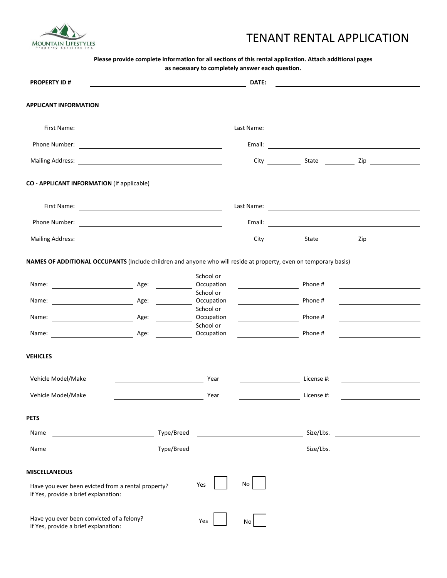

## TENANT RENTAL APPLICATION

## **Please provide complete information for all sections of this rental application. Attach additional pages as necessary to completely answer each question.**

| <b>PROPERTY ID#</b>                                                                                                | <u> 1989 - Johann Barn, mars ann an t-Amhain an t-Amhain an t-Amhain an t-Amhain an t-Amhain an t-Amhain an t-Amh</u> |                         | DATE:                                                                                                                                                                                                                                |            |                                                                                                                       |  |
|--------------------------------------------------------------------------------------------------------------------|-----------------------------------------------------------------------------------------------------------------------|-------------------------|--------------------------------------------------------------------------------------------------------------------------------------------------------------------------------------------------------------------------------------|------------|-----------------------------------------------------------------------------------------------------------------------|--|
| <b>APPLICANT INFORMATION</b>                                                                                       |                                                                                                                       |                         |                                                                                                                                                                                                                                      |            |                                                                                                                       |  |
|                                                                                                                    |                                                                                                                       |                         |                                                                                                                                                                                                                                      |            |                                                                                                                       |  |
|                                                                                                                    |                                                                                                                       |                         |                                                                                                                                                                                                                                      |            |                                                                                                                       |  |
|                                                                                                                    |                                                                                                                       |                         |                                                                                                                                                                                                                                      |            |                                                                                                                       |  |
| CO - APPLICANT INFORMATION (If applicable)                                                                         |                                                                                                                       |                         |                                                                                                                                                                                                                                      |            |                                                                                                                       |  |
|                                                                                                                    |                                                                                                                       |                         |                                                                                                                                                                                                                                      |            |                                                                                                                       |  |
|                                                                                                                    |                                                                                                                       |                         |                                                                                                                                                                                                                                      |            |                                                                                                                       |  |
|                                                                                                                    |                                                                                                                       |                         |                                                                                                                                                                                                                                      |            |                                                                                                                       |  |
| NAMES OF ADDITIONAL OCCUPANTS (Include children and anyone who will reside at property, even on temporary basis)   |                                                                                                                       |                         |                                                                                                                                                                                                                                      |            |                                                                                                                       |  |
|                                                                                                                    |                                                                                                                       | School or<br>Occupation |                                                                                                                                                                                                                                      | Phone #    | <u> 1980 - Andrea Aonaichte ann an t-Aonaichte ann an t-Aonaichte ann an t-Aonaichte ann an t-Aonaichte ann an t-</u> |  |
|                                                                                                                    |                                                                                                                       | School or<br>Occupation |                                                                                                                                                                                                                                      | Phone #    | <u> 1989 - Andrea Station, amerikansk politik (</u>                                                                   |  |
|                                                                                                                    |                                                                                                                       | School or<br>Occupation |                                                                                                                                                                                                                                      | Phone #    |                                                                                                                       |  |
| Name: <u>Name: Age:</u> Age: 2008                                                                                  |                                                                                                                       | School or<br>Occupation | <u> 1990 - Johann Barbara, martin a</u>                                                                                                                                                                                              | Phone #    |                                                                                                                       |  |
| <b>VEHICLES</b>                                                                                                    |                                                                                                                       |                         |                                                                                                                                                                                                                                      |            |                                                                                                                       |  |
| Vehicle Model/Make                                                                                                 |                                                                                                                       | Year                    | <u> Listen van die Stadt van die Stadt van die Stadt van die Stadt van die Stadt van die Stadt van die Stadt van die Stadt van die Stadt van die Stadt van die Stadt van die Stadt van die Stadt van die Stadt van die Stadt van</u> | License #: | <u> 1989 - Johann Stone, amerikansk politiker (</u>                                                                   |  |
| Vehicle Model/Make                                                                                                 |                                                                                                                       | Year                    |                                                                                                                                                                                                                                      | License #: |                                                                                                                       |  |
| <b>PETS</b>                                                                                                        |                                                                                                                       |                         |                                                                                                                                                                                                                                      |            |                                                                                                                       |  |
| Name                                                                                                               | Type/Breed                                                                                                            |                         |                                                                                                                                                                                                                                      | Size/Lbs.  |                                                                                                                       |  |
| Name                                                                                                               | Type/Breed                                                                                                            |                         |                                                                                                                                                                                                                                      | Size/Lbs.  |                                                                                                                       |  |
| <b>MISCELLANEOUS</b><br>Have you ever been evicted from a rental property?<br>If Yes, provide a brief explanation: |                                                                                                                       | Yes                     | No                                                                                                                                                                                                                                   |            |                                                                                                                       |  |
| Have you ever been convicted of a felony?<br>If Yes, provide a brief explanation:                                  |                                                                                                                       | Yes                     | No.                                                                                                                                                                                                                                  |            |                                                                                                                       |  |